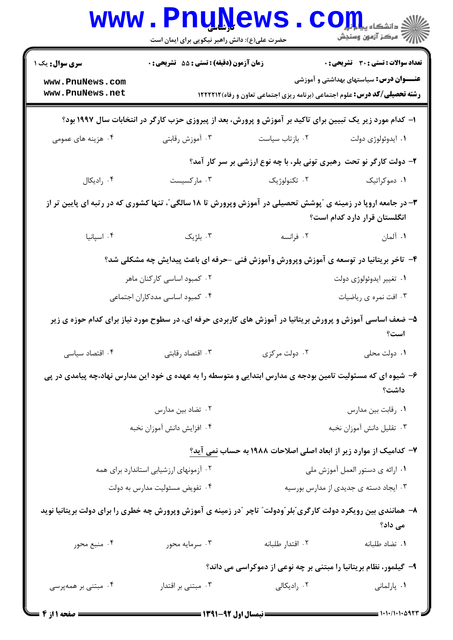|                                                              | <b>www.PnuNews</b><br>حضرت علی(ع): دانش راهبر نیکویی برای ایمان است |                                                                                                                   | $\mathbf{C}\mathbf{O}$ چ دانشڪاه پيا<br>رآ - مرڪز آزمون وسنڊش                                   |
|--------------------------------------------------------------|---------------------------------------------------------------------|-------------------------------------------------------------------------------------------------------------------|-------------------------------------------------------------------------------------------------|
| <b>سری سوال :</b> یک ۱<br>www.PnuNews.com<br>www.PnuNews.net | زمان آزمون (دقیقه) : تستی : 55 آتشریحی : 0                          | <b>رشته تحصیلی/کد درس:</b> علوم اجتماعی (برنامه ریزی اجتماعی تعاون و رفاه) ۱۲۲۲۲۱۲                                | <b>تعداد سوالات : تستی : 30 ٪ تشریحی : 0</b><br><b>عنــــوان درس:</b> سیاستهای بهداشتی و آموزشی |
|                                                              |                                                                     | ۱– کدام مورد زیر یک تبیین برای تاکید بر آموزش و پرورش، بعد از پیروزی حزب کارگر در انتخابات سال ۱۹۹۷ بود؟          |                                                                                                 |
| ۰۴ هزینه های عمومی                                           | ۰۳ آموزش رقابتی                                                     | ۰۲ بازتاب سیاست                                                                                                   | ۰۱ ايدوئولوژي دولت                                                                              |
|                                                              |                                                                     | ۲- دولت کارگر نو تحت رهبری تونی بلر، با چه نوع ارزشی بر سر کار آمد؟                                               |                                                                                                 |
| ۰۴ رادیکال                                                   | ۰۳ مارکسیست                                                         | ۰۲ تکنولوژیک                                                                                                      | ۰۱ دموکراتیک                                                                                    |
|                                                              |                                                                     | ۳- در جامعه اروپا در زمینه ی ″پوشش تحصیلی در آموزش وپرورش تا ۱۸ سالگی″، تنها کشوری که در رتبه ای پایین تر از      | انگلستان قرار دارد کدام است؟                                                                    |
| ۰۴ اسپانیا                                                   | ۰۳ بلژیک                                                            | ۰۲ فرانسه                                                                                                         | ۰۱ آلمان                                                                                        |
|                                                              |                                                                     | ۴– تاخر بریتانیا در توسعه ی آموزش وپرورش وآموزش فنی -حرفه ای باعث پیدایش چه مشکلی شد؟                             |                                                                                                 |
| ۰۲ کمبود اساسی کارکنان ماهر                                  |                                                                     | ۰۱ تغيير ايدوئولوژي دولت                                                                                          |                                                                                                 |
|                                                              | ۰۴ کمبود اساسی مددکاران اجتماعی                                     |                                                                                                                   | ۰۳ افت نمره ي رياضيات                                                                           |
|                                                              |                                                                     | ۵– ضعف اساسی آموزش و پرورش بریتانیا در آموزش های کاربردی حرفه ای، در سطوح مورد نیاز برای کدام حوزه ی زیر          | است؟                                                                                            |
| ۰۴ اقتصاد سیاسی                                              | ۰۳ اقتصاد رقابتی                                                    | ۰۲ دولت مرکزی                                                                                                     | ۰۱ دولت محلی                                                                                    |
|                                                              |                                                                     | ۶– شیوه ای که مسئولیت تامین بودجه ی مدارس ابتدایی و متوسطه را به عهده ی خود این مدارس نهاد،چه پیامدی در پی        | داشت؟                                                                                           |
|                                                              | ۰۲ تضاد بين مدارس                                                   |                                                                                                                   | ٠١ رقابت بين مدارس                                                                              |
|                                                              | ۰۴ افزایش دانش آموزان نخبه                                          |                                                                                                                   | ۰۳ تقلیل دانش آموزان نخبه                                                                       |
|                                                              |                                                                     | ۷– کدامیک از موارد زیر از ابعاد اصلی اصلاحات ۱۹۸۸ به حساب <u>نمی</u> آید؟                                         |                                                                                                 |
| ۰۲ آزمونهای ارزشیابی استاندارد برای همه                      |                                                                     | ۰۱ ارائه ی دستور العمل آموزش ملی                                                                                  |                                                                                                 |
| ۰۴ تفویض مسئولیت مدارس به دولت                               |                                                                     | ۰۳ ایجاد دسته ی جدیدی از مدارس بورسیه                                                                             |                                                                                                 |
|                                                              |                                                                     | ۸– همانندی بین رویکرد دولت کارگری ؒبلر ؒودولت ؒ تاچر  ؒدر زمینه ی آموزش وپرورش چه خطری را برای دولت بریتانیا نوید | می داد؟                                                                                         |
| ۰۴ منبع محور                                                 | ۰۳ سرمايه محور                                                      | ٠٢ اقتدار طلبانه                                                                                                  | ٠١ تضاد طلبانه                                                                                  |
|                                                              |                                                                     | ۹- گیلمور، نظام بریتانیا را مبتنی بر چه نوعی از دموکراسی می داند؟                                                 |                                                                                                 |
| ۰۴ مبتنی بر همهپرسی                                          | ۰۳ مبتنی بر اقتدار<br>المدارية اسمام المسدين                        | ۰۲ رادیکالی                                                                                                       | ۰۱ پارلمانی<br>(1.11.1.00)                                                                      |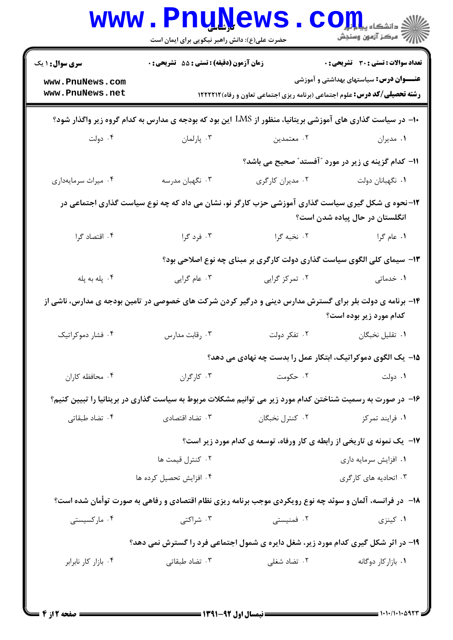| <b>سری سوال : ۱ یک</b> | زمان آزمون (دقیقه) : تستی : 55٪ تشریحی : 0 |                                                                                                            | تعداد سوالات : تستي : 30 ٪ تشريحي : 0           |  |  |
|------------------------|--------------------------------------------|------------------------------------------------------------------------------------------------------------|-------------------------------------------------|--|--|
| www.PnuNews.com        |                                            |                                                                                                            | <b>عنــــوان درس:</b> سیاستهای بهداشتی و آموزشی |  |  |
| www.PnuNews.net        |                                            | <b>رشته تحصیلی/کد درس:</b> علوم اجتماعی (برنامه ریزی اجتماعی تعاون و رفاه)1۲۲۲۱۲                           |                                                 |  |  |
|                        |                                            | +ا– در سیاست گذاری های آموزشی بریتانیا، منظور از LMS این بود که بودجه ی مدارس به کدام گروه زیر واگذار شود؟ |                                                 |  |  |
| ۰۴ دولت                | ۰۳ پارلمان                                 | ۰۲ معتمدين                                                                                                 | ۰۱ مدیران                                       |  |  |
|                        |                                            | <b>۱۱- کدام گزینه ی زیر در مورد "آفستد" صحیح می باشد؟</b>                                                  |                                                 |  |  |
| ۰۴ میراث سرمایهداری    | ۰۳ نگهبان مدرسه                            | ۰۲ مدیران کارگری                                                                                           | ٠١ نگهبانان دولت                                |  |  |
|                        |                                            | ۱۲- نحوه ی شکل گیری سیاست گذاری آموزشی حزب کارگر نو، نشان می داد که چه نوع سیاست گذاری اجتماعی در          | انگلستان در حال پیاده شدن است؟                  |  |  |
| ۰۴ اقتصاد گرا          | ۰۳ فرد گرا                                 | ۰۲ نخبه گرا                                                                                                | ۱. عام گرا                                      |  |  |
|                        |                                            | ۱۳- سیمای کلی الگوی سیاست گذاری دولت کارگری بر مبنای چه نوع اصلاحی بود؟                                    |                                                 |  |  |
| ۰۴ پله به پله          | ۰۳ عام گرايي                               | ۰۲ تمرکز گرایی                                                                                             | ۰۱ خدماتی                                       |  |  |
|                        |                                            | ۱۴- برنامه ی دولت بلر برای گسترش مدارس دینی و درگیر کردن شرکت های خصوصی در تامین بودجه ی مدارس، ناشی از    | <b>کدام مورد زیر بوده است؟</b>                  |  |  |
| ۰۴ فشار دموکراتیک      | ۰۳ رقابت مدارس                             | ۰۲ تفکر دولت                                                                                               | ٠١ تقليل نخبگان                                 |  |  |
|                        |                                            | 1۵- یک الگوی دموکراتیک، ابتکار عمل را بدست چه نهادی می دهد؟                                                |                                                 |  |  |
| ۰۴ محافظه کاران        | ۰۳ کارگران                                 | ۰۲ حکومت                                                                                                   | ۰۱ دولت                                         |  |  |
|                        |                                            | ۱۶– در صورت به رسمیت شناختن کدام مورد زیر می توانیم مشکلات مربوط به سیاست گذاری در بریتانیا را تبیین کنیم؟ |                                                 |  |  |
| ۰۴ تضاد طبقاتی         | ۰۳ تضاد اقتصادی                            | ۰۲ کنترل نخبگان                                                                                            | ۰۱ فرايند تمركز                                 |  |  |
|                        |                                            | <b>۱۷</b> - یک نمونه ی تاریخی از رابطه ی کار ورفاه، توسعه ی کدام مورد زیر است؟                             |                                                 |  |  |
|                        | ۰۲ کنترل قیمت ها                           |                                                                                                            | ۰۱ افزایش سرمایه داری                           |  |  |
|                        | ۰۴ افزایش تحصیل کرده ها                    |                                                                                                            | ۰۳ اتحادیه های کارگری                           |  |  |
|                        |                                            | ۱۸− در فرانسه، آلمان و سوئد چه نوع رویکردی موجب برنامه ریزی نظام اقتصادی و رفاهی به صورت توأمان شده است؟   |                                                 |  |  |
| ۰۴ مارکسیستی           | ۰۳ شراکت <sub>ی</sub>                      | ۰۲ فمنیستی                                                                                                 | ۰۱ کینزی                                        |  |  |
|                        |                                            | ۱۹- در اثر شکل گیری کدام مورد زیر، شغل دایره ی شمول اجتماعی فرد را گسترش نمی دهد؟                          |                                                 |  |  |
| ۰۴ بازار کار نابرابر   | ۰۳ تضاد طبقات <i>ی</i>                     | ۰۲ تضاد شغلی                                                                                               | ۰۱ بازار کار دوگانه                             |  |  |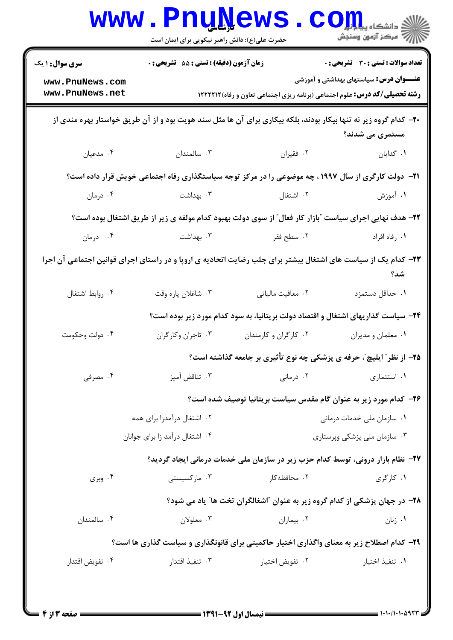| <b>سری سوال : ۱ یک</b>             | زمان آزمون (دقیقه) : تستی : 55 آتشریحی : 0 |                                                                                                                  | تعداد سوالات : تستي : 30 ٪ تشريحي : 0          |
|------------------------------------|--------------------------------------------|------------------------------------------------------------------------------------------------------------------|------------------------------------------------|
| www.PnuNews.com<br>www.PnuNews.net |                                            | <b>رشته تحصیلی/کد درس:</b> علوم اجتماعی (برنامه ریزی اجتماعی تعاون و رفاه)1۲۲۲۱۲                                 | <b>عنـــوان درس:</b> سیاستهای بهداشتی و آموزشی |
|                                    |                                            | +۲- کدام گروه زیر نه تنها بیکار بودند، بلکه بیکاری برای آن ها مثل سند هویت بود و از آن طریق خواستار بهره مندی از | مستمری می شدند؟                                |
| ۰۴ مدعیان                          | ۰۳ سالمندان                                | ٠٢ فقيران                                                                                                        | ٠١. گدايان                                     |
|                                    |                                            | <b>۲۱</b> -  دولت کارگری از سال ۱۹۹۷ ، چه موضوعی را در مرکز توجه سیاستگذاری رفاه اجتماعی خویش قرار داده است؟     |                                                |
| ۰۴ درمان                           | ۰۳ بهداشت                                  | ۰۲ اشتغال                                                                                                        | ۱. آموزش                                       |
|                                    |                                            | ۲۲- هدف نهایی اجرای سیاست "بازار کار فعال" از سوی دولت بهبود کدام مولفه ی زیر از طریق اشتغال بوده است؟           |                                                |
| ۰۴ درمان                           | ۰۳ بهداشت                                  | ۰۲ سطح فقر                                                                                                       | ٠١. رفاه افراد                                 |
|                                    |                                            | ۲۳– کدام یک از سیاست های اشتغال بیشتر برای جلب رضایت اتحادیه ی اروپا و در راستای اجرای قوانین اجتماعی آن اجرا    | شد؟                                            |
| ۰۴ روابط اشتغال                    | ۰۳ شاغلان پاره وقت                         | ٠٢ معافيت مالياتي                                                                                                | ٠١. حداقل دستمزد                               |
|                                    |                                            | ۲۴- سیاست گذاریهای اشتغال و اقتصاد دولت بریتانیا، به سود کدام مورد زیر بوده است؟                                 |                                                |
| ۰۴ دولت وحکومت                     | ۰۳ تاجران وكاركران                         | ۰۲ کارگران و کارمندان                                                                                            | ٠١ معلمان و مديران                             |
|                                    |                                            | ۲۵- از نظر ً ایلیچ ً، حرفه ی پزشکی چه نوع تأثیری بر جامعه گذاشته است؟                                            |                                                |
| ۰۴ مصرفی                           | ۰۳ تناقض آميز                              | ۰۲ درمانی                                                                                                        | ۰۱ استثماری                                    |
|                                    |                                            | <b>۲۶</b> - کدام مورد زیر به عنوان گام مقدس سیاست بریتانیا توصیف شده است؟                                        |                                                |
|                                    | ۰۲ اشتغال درآمدزا برای همه                 | ۰۱ سازمان ملی خدمات درمانی                                                                                       |                                                |
|                                    | ۰۴ اشتغال درآمد زا برای جوانان             |                                                                                                                  | ۰۳ سازمان ملی پزشکی وپرستاری                   |
|                                    |                                            | ۲۷- نظام بازار درونی، توسط کدام حزب زیر در سازمان ملی خدمات درمانی ایجاد گردید؟                                  |                                                |
| ۰۴ وبری                            | ۰۳ مارکسیستی                               | ۰۲ محافظه کار                                                                                                    | ۰۱ کارگری                                      |
|                                    |                                            | ۲۸- در جهان پزشکی از کدام گروه زیر به عنوان آاشغالگران تخت ها" یاد می شود؟                                       |                                                |
| ۰۴ سالمندان                        | ۰۳ معلولان                                 | ٠٢ بيماران                                                                                                       | ۰۱ زنان                                        |
|                                    |                                            | ۲۹- کدام اصطلاح زیر به معنای واگذاری اختیار حاکمیتی برای قانونگذاری و سیاست گذاری ها است؟                        |                                                |
| ۰۴ تفويض اقتدار                    | ۰۳ تنفیذ اقتدار                            | ٠٢ تفويض اختيار                                                                                                  | ٠١. تنفيذ اختيار                               |